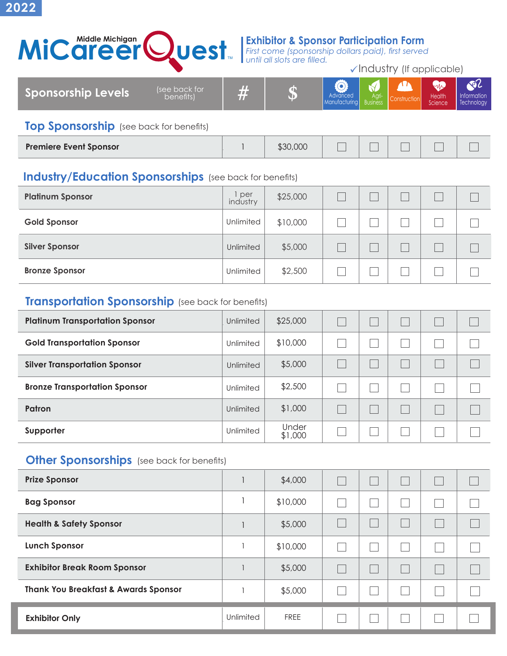**2022**



*First come (sponsorship dollars paid), first served until all slots are filled.*

 $\checkmark$  Industry (If applicable)

| <b>Sponsorship Levels</b><br><b>Health</b><br>∆ ∩ri i<br>benefits)<br>Advanced<br>Information<br>◥⊩<br>4 M .<br>Science<br>Technology<br><b>Manufacturing</b><br><b>Business</b> |
|----------------------------------------------------------------------------------------------------------------------------------------------------------------------------------|
|----------------------------------------------------------------------------------------------------------------------------------------------------------------------------------|

## **Top Sponsorship** (see back for benefits)

| <b>Premiere Event Sponsor</b> |  | \$30,000 |  |  | $\overline{\phantom{0}}$ |  |  |
|-------------------------------|--|----------|--|--|--------------------------|--|--|
|-------------------------------|--|----------|--|--|--------------------------|--|--|

## **Industry/Education Sponsorships** (see back for benefits)

| <b>Platinum Sponsor</b> | per<br>industry | \$25,000 |  |  |  |
|-------------------------|-----------------|----------|--|--|--|
| <b>Gold Sponsor</b>     | Unlimited       | \$10,000 |  |  |  |
| <b>Silver Sponsor</b>   | Unlimited       | \$5,000  |  |  |  |
| <b>Bronze Sponsor</b>   | Unlimited       | \$2,500  |  |  |  |

## **Transportation Sponsorship** (see back for benefits)

| <b>Platinum Transportation Sponsor</b> | Unlimited | \$25,000         |  |  |  |
|----------------------------------------|-----------|------------------|--|--|--|
| <b>Gold Transportation Sponsor</b>     | Unlimited | \$10,000         |  |  |  |
| <b>Silver Transportation Sponsor</b>   | Unlimited | \$5,000          |  |  |  |
| <b>Bronze Transportation Sponsor</b>   | Unlimited | \$2,500          |  |  |  |
| Patron                                 | Unlimited | \$1,000          |  |  |  |
| Supporter                              | Unlimited | Under<br>\$1,000 |  |  |  |

## **Other Sponsorships** (see back for benefits)

| <b>Prize Sponsor</b>                            |           | \$4,000     |  |  |  |
|-------------------------------------------------|-----------|-------------|--|--|--|
| <b>Bag Sponsor</b>                              |           | \$10,000    |  |  |  |
| <b>Health &amp; Safety Sponsor</b>              |           | \$5,000     |  |  |  |
| <b>Lunch Sponsor</b>                            |           | \$10,000    |  |  |  |
| <b>Exhibitor Break Room Sponsor</b>             |           | \$5,000     |  |  |  |
| <b>Thank You Breakfast &amp; Awards Sponsor</b> |           | \$5,000     |  |  |  |
| <b>Exhibitor Only</b>                           | Unlimited | <b>FREE</b> |  |  |  |